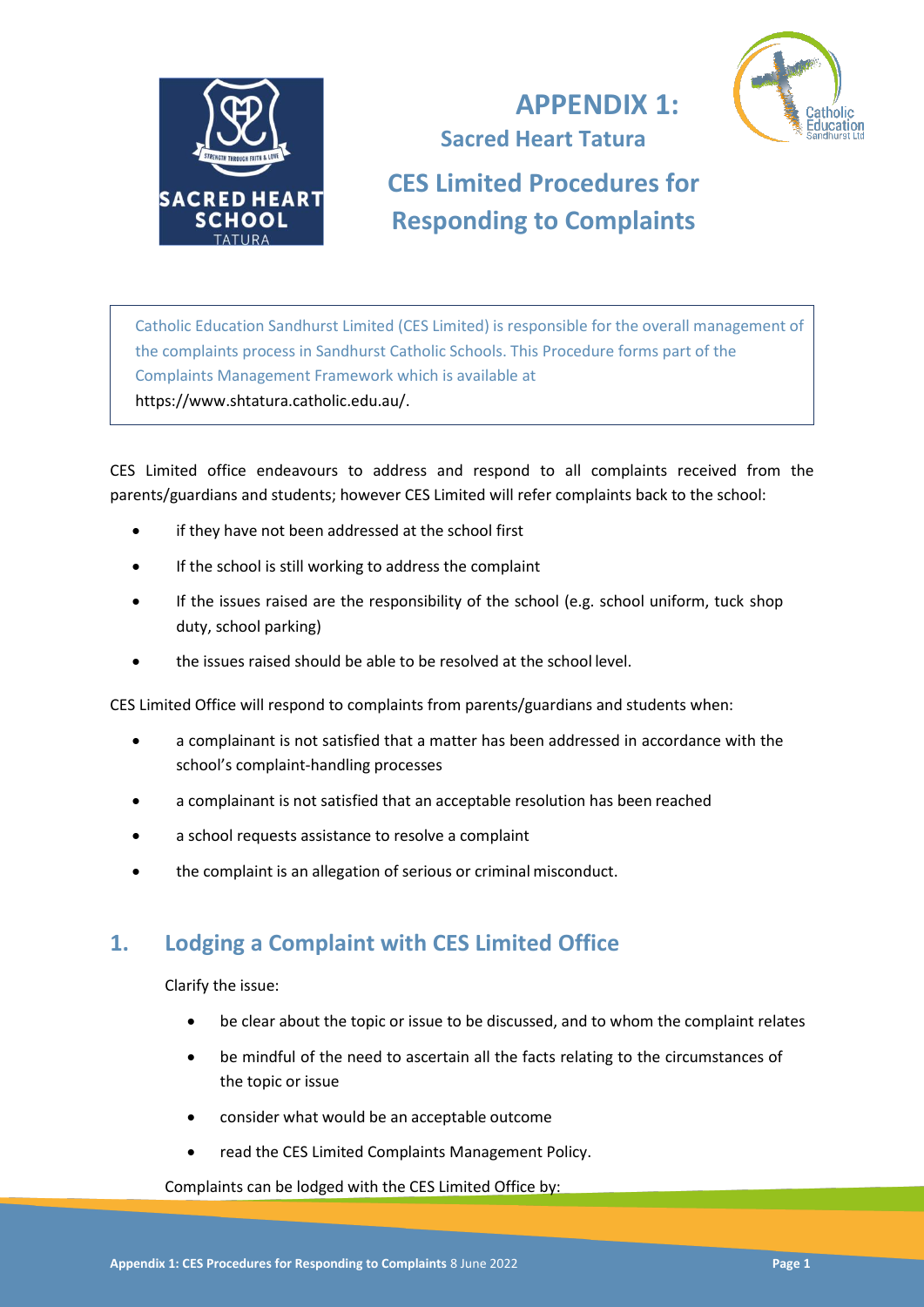

## **APPENDIX 1: Sacred Heart Tatura**



**CES Limited Procedures for Responding to Complaints**

Catholic Education Sandhurst Limited (CES Limited) is responsible for the overall management of the complaints process in Sandhurst Catholic Schools. This Procedure forms part of the Complaints Management Framework which is available at https://www.shtatura.catholic.edu.au/.

CES Limited office endeavours to address and respond to all complaints received from the parents/guardians and students; however CES Limited will refer complaints back to the school:

- if they have not been addressed at the school first
- If the school is still working to address the complaint
- If the issues raised are the responsibility of the school (e.g. school uniform, tuck shop duty, school parking)
- the issues raised should be able to be resolved at the school level.

CES Limited Office will respond to complaints from parents/guardians and students when:

- a complainant is not satisfied that a matter has been addressed in accordance with the school's complaint-handling processes
- a complainant is not satisfied that an acceptable resolution has been reached
- a school requests assistance to resolve a complaint
- the complaint is an allegation of serious or criminal misconduct.

### **1. Lodging a Complaint with CES Limited Office**

Clarify the issue:

- be clear about the topic or issue to be discussed, and to whom the complaint relates
- be mindful of the need to ascertain all the facts relating to the circumstances of the topic or issue
- consider what would be an acceptable outcome
- read the CES Limited Complaints Management Policy.

Complaints can be lodged with the CES Limited Office by: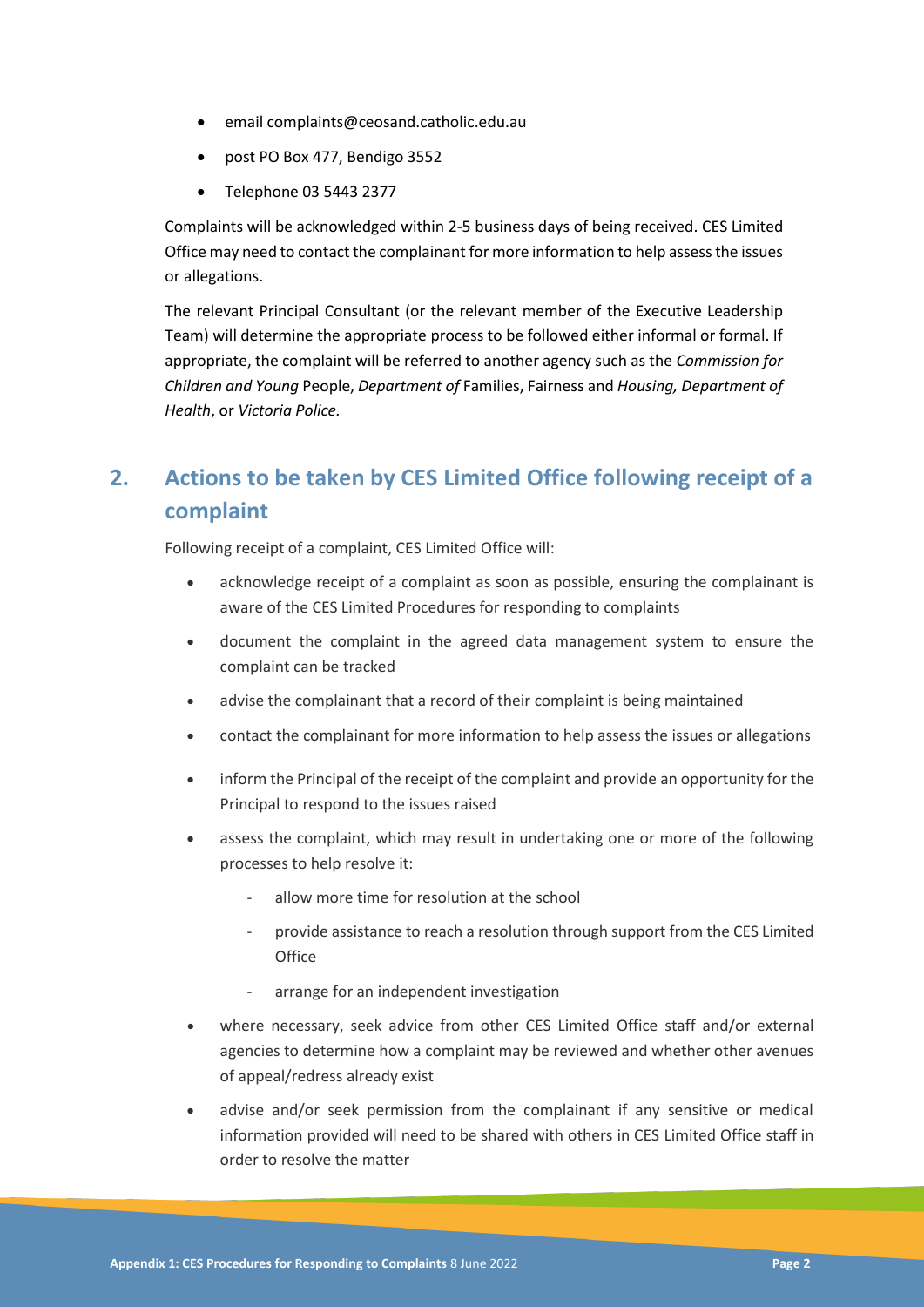- email complaints@ceosand.catholic.edu.au
- post PO Box 477, Bendigo 3552
- Telephone 03 5443 2377

Complaints will be acknowledged within 2-5 business days of being received. CES Limited Office may need to contact the complainant for more information to help assess the issues or allegations.

The relevant Principal Consultant (or the relevant member of the Executive Leadership Team) will determine the appropriate process to be followed either informal or formal. If appropriate, the complaint will be referred to another agency such as the *Commission for Children and Young* People, *Department of* Families, Fairness and *Housing, Department of Health*, or *Victoria Police.*

# **2. Actions to be taken by CES Limited Office following receipt of a complaint**

Following receipt of a complaint, CES Limited Office will:

- acknowledge receipt of a complaint as soon as possible, ensuring the complainant is aware of the CES Limited Procedures for responding to complaints
- document the complaint in the agreed data management system to ensure the complaint can be tracked
- advise the complainant that a record of their complaint is being maintained
- contact the complainant for more information to help assess the issues or allegations
- inform the Principal of the receipt of the complaint and provide an opportunity for the Principal to respond to the issues raised
- assess the complaint, which may result in undertaking one or more of the following processes to help resolve it:
	- allow more time for resolution at the school
	- provide assistance to reach a resolution through support from the CES Limited **Office**
	- arrange for an independent investigation
- where necessary, seek advice from other CES Limited Office staff and/or external agencies to determine how a complaint may be reviewed and whether other avenues of appeal/redress already exist
- advise and/or seek permission from the complainant if any sensitive or medical information provided will need to be shared with others in CES Limited Office staff in order to resolve the matter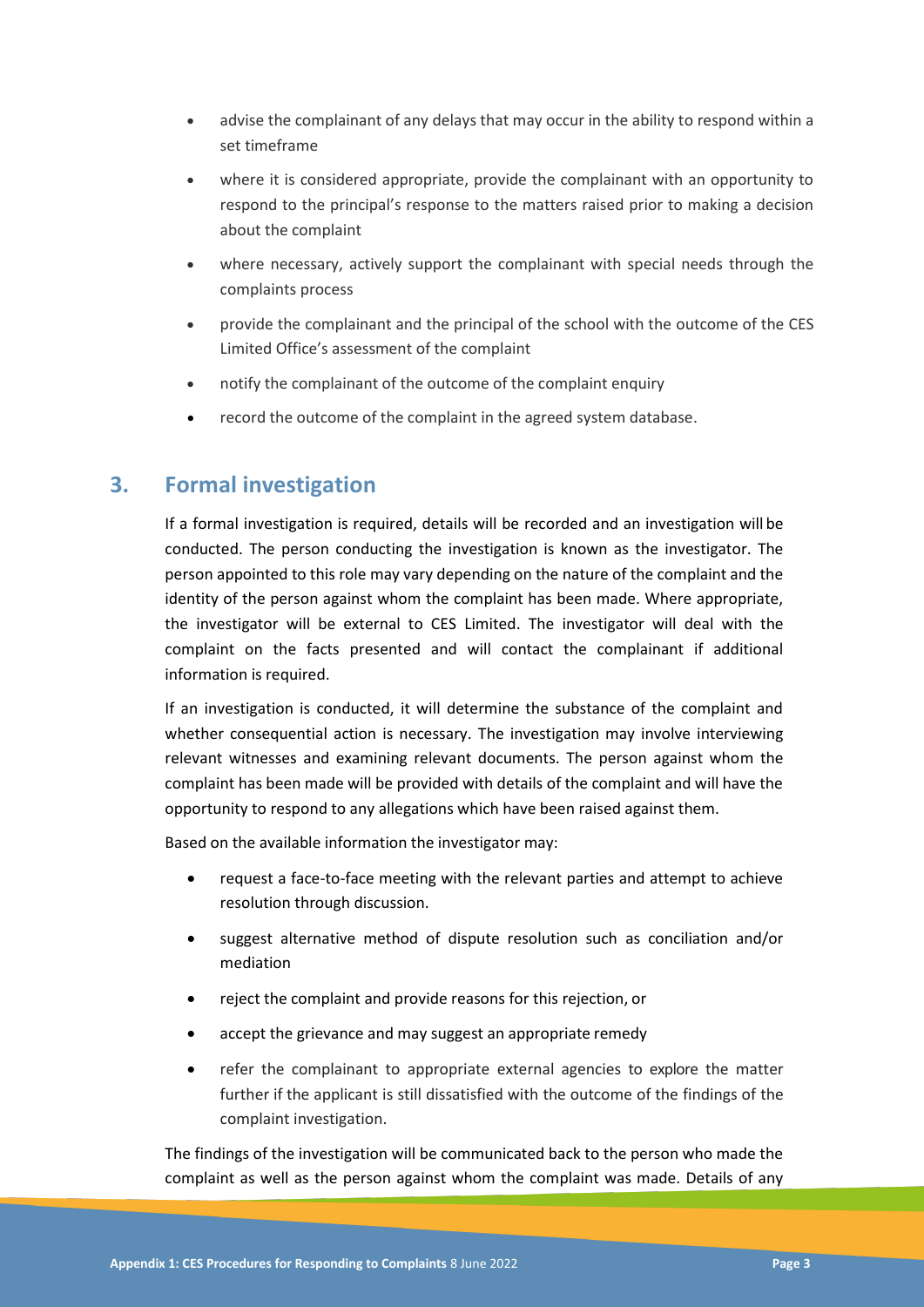- advise the complainant of any delays that may occur in the ability to respond within a set timeframe
- where it is considered appropriate, provide the complainant with an opportunity to respond to the principal's response to the matters raised prior to making a decision about the complaint
- where necessary, actively support the complainant with special needs through the complaints process
- provide the complainant and the principal of the school with the outcome of the CES Limited Office's assessment of the complaint
- notify the complainant of the outcome of the complaint enquiry
- record the outcome of the complaint in the agreed system database.

#### **3. Formal investigation**

If a formal investigation is required, details will be recorded and an investigation will be conducted. The person conducting the investigation is known as the investigator. The person appointed to this role may vary depending on the nature of the complaint and the identity of the person against whom the complaint has been made. Where appropriate, the investigator will be external to CES Limited. The investigator will deal with the complaint on the facts presented and will contact the complainant if additional information is required.

If an investigation is conducted, it will determine the substance of the complaint and whether consequential action is necessary. The investigation may involve interviewing relevant witnesses and examining relevant documents. The person against whom the complaint has been made will be provided with details of the complaint and will have the opportunity to respond to any allegations which have been raised against them.

Based on the available information the investigator may:

- request a face-to-face meeting with the relevant parties and attempt to achieve resolution through discussion.
- suggest alternative method of dispute resolution such as conciliation and/or mediation
- reject the complaint and provide reasons for this rejection, or
- accept the grievance and may suggest an appropriate remedy
- refer the complainant to appropriate external agencies to explore the matter further if the applicant is still dissatisfied with the outcome of the findings of the complaint investigation.

The findings of the investigation will be communicated back to the person who made the complaint as well as the person against whom the complaint was made. Details of any